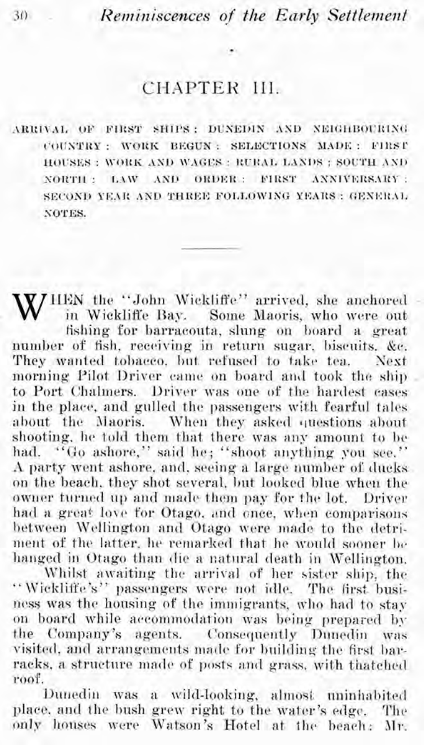## CHAPTER III.

ARRIVAL OF FIRST SHIPS: DUNEDIN AND NEIGHBOURING COUNTRY : WORK BEGUN : SELECTIONS MADE : FIRST HOUSES : WORK AND WAGES : RURAL LANDS : SOUTH AND NORTH : LAW AND ORDER : FIRST ANNIVERSARY : SECOND YEAR AND THREE FOLLOWING YEARS : GENERAL NOTES.

WHEN the "John Wickliffe" arrived, she anchored in Wickliffe Bay. Some Maoris, who were out fishing for barracouta, slung on board a great number of fish, receiving in return sugar, biscuits, &c. They wanted tobacco, but refused to take tea. Next morning Pilot Driver came on board and took the ship to Port Chalmers. Driver was one of the hardest cases in the place, and gulled the passengers with fearful tales about the Maoris. When they asked questions about shooting, he told them that there was any amount to be had. "Go ashore," said he; "shoot anything you see." A party went ashore, and, seeing a large number of ducks on the beach, they shot several, but looked blue when the owner turned up and made them pay for the lot. Driver had a great love for Otago, and once, when comparisons between Wellington and Otago were made to the detriment of the latter, he remarked that he would sooner be hanged in Otago than die a natural death in Wellington.

Whilst awaiting the arrival of her sister ship, the "Wickliffe's" passengers were not idle. The first business was the housing of the immigrants, who had to stay on board while accommodation was being prepared by the Company's agents. Consequently Dunedin was visited, and arrangements made for building the first barracks, a structure made of posts and grass, with thatched roof.

Dunedin was a wild-looking, almost uninhabited place, and the bush grew right to the water's edge. The only houses were Watson's Hotel at the beach: Mr.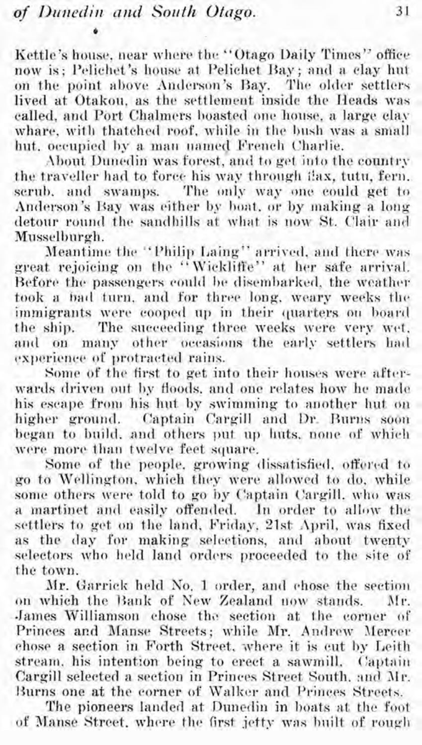Kettle's house, near where the "Otago Daily Times" office now is; Pelichet's house at Pelichet Bay; and a clay hut on the point above Anderson's Bay. The older settlers lived at Otakou, as the settlement inside the Heads was called, and Port Chalmers boasted one house, a large clay whare, with thatched roof, while in the bush was a small hut. occupied by a man named French Charlie.

About Dunedin was forest, and to get into the country the traveller had to force his way through i!ax, tutu, fern. scrub, and swamps. The only way one could get to Anderson's Bay was either by boat, or by making a long detour round the sandhills at what is now St. Clair and Musselburgh.

Meantime the "Philip Laing" arrived, and there was great rejoicing on the "Wickliffe" at her safe arrival. Before the passengers could be disembarked, the weather took a bad turn, and for three long, weary weeks the immigrants were cooped up in their quarters on board the ship. The succeeding three weeks were very wet. and on many other occasions the early settlers had experience of protracted rains.

Some of the first to get into their houses were afterwards driven out by floods, and one relates how he made his escape from his hut by swimming to another hut on higher ground. Captain Cargill and Dr. Burns soon began to build, and others put up huts, none of which were more than twelve feet square.

Some of the people, growing dissatisfied, offered to go to Wellington, which they were allowed to do, while some others were told to go by Captain Cargill. who was a martinet and easily offended. In order to allow the settlers to get on the land. Friday, 21st April, was fixed as the day for making selections, and about twenty selectors who held land orders proceeded to the site of the town.

Mr. Garrick held No. 1 order, and chose the section<br>which the Bank of New Zealand now stands. Mr. on which the Bank of New Zealand now stands. James Williamson chose the section at the corner of Princes and Manse Streets; while Mr. Andrew Mercer chose a section in Forth Street, where it is cut by Leith stream, his intention being to erect a sawmill. Captain Cargill selected a section in Princes Street South, and Mr. Burns one at the corner of Walker and Princes Streets.

The pioneers landed at Dunedin in boats at the foot of Manse Street, where the first jetty was built of rough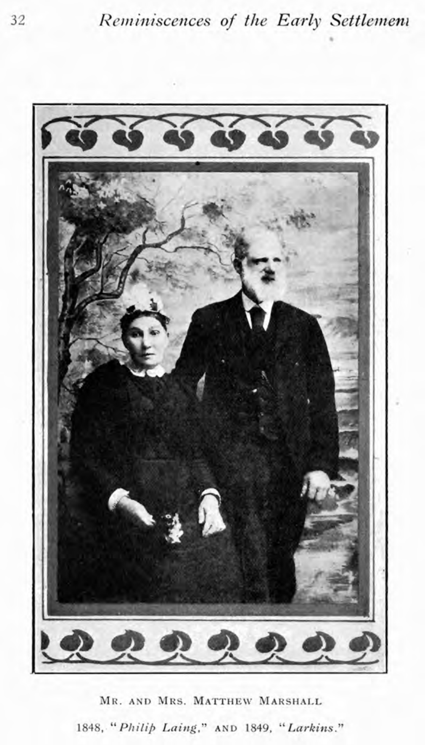

MR. AND MRS. MATTHEW MARSHALL 1848, "Philip Laing," AND 1849, "Larkins."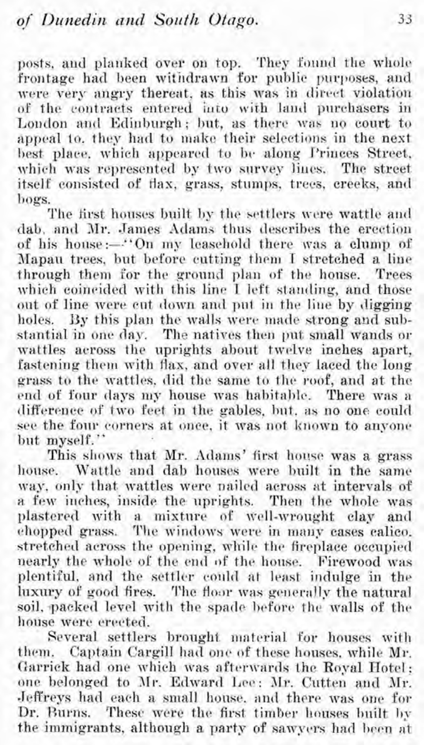posts, and planked over on top. They found the whole frontage had been withdrawn for public purposes, and were very angry thereat, as this was in direct violation of the contracts entered into with land purchasers in London and Edinburgh; but, as there was no court to appeal to, they had to make their selections in the next. best place, which appeared to be along Princes Street, which was represented by two survey lines. The street itself consisted of flax, grass, stumps, trees, creeks, and bogs.

The first houses built by the settlers were wattle and dab, and Mr. James Adams thus describes the erection of his house :--... 'On my leasehold there was a clump of Mapan trees, but before cutting them I stretched a line through them for the ground plan of the house. Trees which coincided with this line I left standing, and those out of line were cut down ancl put in the line by digging holes. By this plan the walls were made strong and substantial in one day. The natives then put small wands or wattles across the uprights about twelve inches apart, fastening them with flax, and over all they laced the long grass to the wattles, did the same to the roof, and at the end of four days my house was habitable. There was a difference of two feet in the gables, but, as no one could see the four corners at once, it was not known to anyone but myself."

This shows that Mr. Adams' first house was a grass house. Wattle and dab houses were built in the same way, only that wattles were nailed across at intervals of a few inches, inside the uprights. Then the whole was plastered with a mixture of well-wrought clay and chopped grass. The windows were in many cases calico. stretched across the opening, while the fireplace occupied nearly the whole of the end of the honse. Firewood was plentiful, and the settler could at least indulge in the luxury of good fires. The floor was generally the natural soil, packed level with the spade before the walls of the house were erected.

Several settlers brought material for houses with them. Captain Cargill had one of these houses, while Mr. Garrick had one which was afterwards the Royal Hotel; one belonged to 3lr. Edward Lee: Air. Cutten and Mr. Jeffreys had each a small'honse. and there was one for Dr. Burns. These were the first timber houses built by the immigrants, although a party of sawyers had been at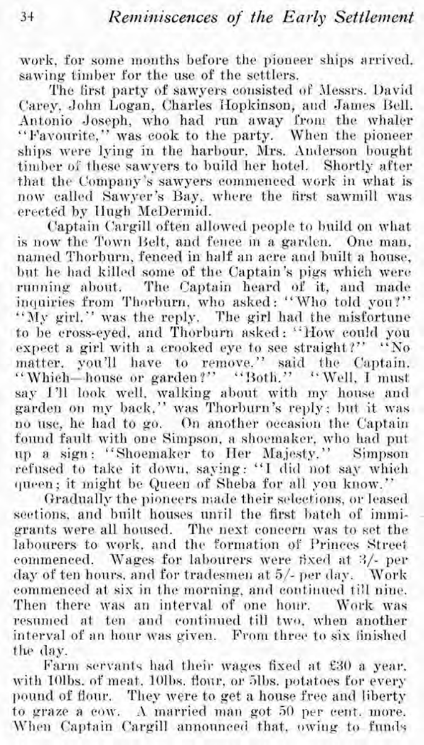work, for some months before the pioneer ships arrived. sawing timber for the use of the settlers.

The first party of sawyers consisted of Messrs. David Carey, John Logan, Charles Hopkinson, and James Bell. Antonio Joseph, who had run away from the whaler "Favourite," was cook to the party. When the pioneer ships were lying in the harbour. Mrs. Anderson bought timber of these sawvers to build her hotel. Shortly after that the Company's sawyers commenced work in what is now called Sawyer's Bay, where the first sawmill was erected by Hugh McDermid.

Captain Cargill often allowed people to build on what is now the Town Belt, and fence in a garden. One man, named Thorburn, fenced in half an acre and built a house. but he had killed some of the Captain's pigs which were running about. The Captain heard of it, and made inquiries from Thorburn, who asked: "Who told you?" "My girl," was the reply. The girl had the misfortune to be cross-eyed, and Thorburn asked: "How could you expect a girl with a crooked eye to see straight?" "No matter, you'll have to remove." said the Captain. "Which-house or garden?" "Both." "Well, I must say 1'll look well, walking about with my house and garden on my back," was Thorburn's reply; but it was no use, he had to go. On another occasion the Captain found fault with one Simpson, a shoemaker, who had put up a sign: "Shoemaker to Her Majesty." Simpson refused to take it down, saying: "I did not say which queen; it might be Queen of Sheba for all you know."

Gradually the pioneers made their selections, or leased sections, and built houses until the first batch of immigrants were all housed. The next concern was to set the labourers to work, and the formation of Princes Street commenced. Wages for labourers were fixed at 3/- per day of ten hours, and for tradesmen at 5/- per day. Work commenced at six in the morning, and continued till nine. Then there was an interval of one hour. Work was resumed at ten and continued till two, when another interval of an hour was given. From three to six finished the day.

Farm servants had their wages fixed at £30 a year. with 10lbs, of meat, 10lbs, flour, or 5lbs, potatoes for every pound of flour. They were to get a house free and liberty to graze a cow. A married man got 50 per cent. more. When Captain Cargill announced that, owing to funds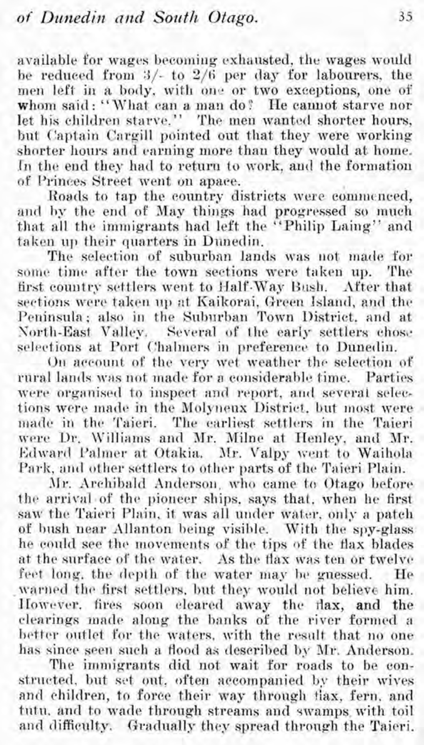available for wages becoming exhausted, the wages woulcl he reduced from **3/-** to **2/6** per day for labourers, the men left in a body, with one or two exceptions, one of whom said: "What can a man do? He cannot starve nor let his children starve." The men wanted shorter hours, but Captain Cargill pointed out that they were working shorter hours and earning more than they would at home. In the end they had to return to work, and the formation of Princes Street went on apace.

.Roads to tap the country districts were commenced, and by the end of May things had progressed so much that all the immigrants had left the "Philip Laing" and taken up their quarters in Dunedin.

The selection of suburban lands was not made for some time after the town sections were taken up. The first country settlers went to Half-Way Bush. After that sections were taken up at Kaikorai, Green Island, and the Peninsula: also in the Suburban Town District, and at North-East Valley. Several of the early settlers chose selections at Port Chalmers in preference to Dunedin.

On account of the very wet weather the selection of rural lands was not made for a considerable time. Parties were organised to inspect and report, and several selections were made in the Molyneux District, but most were made in the Taieri. The earliest settlers in the Taieri were Dr. Williams and Mr. Milne at Henley, and Mr. Edward Palmer at Otakia. Mr. Valpy went to Waihola. Park, and other settlers to other parts of the Taieri Plain.

Mr. Archibald Anderson, who came to Otago before the arrival.of the pioneer ships, says that, when he first saw the Taieri Plain, it was all under water, only a patch of bush near Allanton heing visible. With the spy-glass he could see the movements of the tips of the flax blades at the surface of the water. As the flax was ten or twelve feet long, the depth of the water may be guessed. He warned the first settlers, but they would not believe him. However. fires soon cleared away the flax, and the clearings made along the hanks of the river formed a better outlet for the waters, with the result that no one has since seen such a flood as described by Mr. Anderson.

The immigrants did not wait for roads to be constructed, but set out, often accompanied by their wives and children, to force their way through flax, fern, and tutu. and to wade through streams and swamps, with toil and difficulty. Gradually they spread through the Taieri.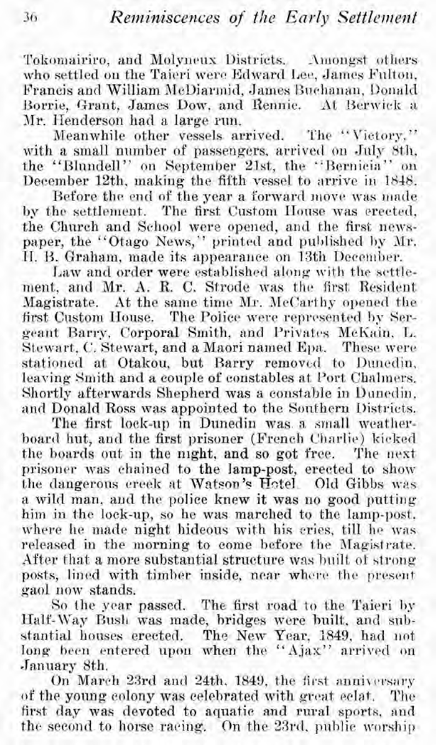Tokomairiro, and Molyneux Districts. Amongst others who settled on the Taieri were Edward Lee, James Fulton, Francis and William McDiarmid, James Buchanan, Donald Borrie, Grant, James Dow, and Rennie. At Berwick a Mr. Henderson had a large run.

Meanwhile other vessels arrived. The "Victory." with a small number of passengers, arrived on July 8th. the "Blundell" on September 21st, the "Bernieia" on December 12th, making the fifth vessel to arrive in 1848.

Before the end of the year a forward move was made by the settlement. The first Custom House was erected. the Church and School were opened, and the first newspaper, the "Otago News," printed and published by Mr. H. B. Graham, made its appearance on 13th December.

Law and order were established along with the settlement, and Mr. A. R. C. Strode was the first Resident Magistrate. At the same time Mr. McCarthy opened the first Custom House. The Police were represented by Sergeant Barry, Corporal Smith, and Privates McKain, L. Stewart, C. Stewart, and a Maori named Epa. These were stationed at Otakou, but Barry removed to Dunedin, leaving Smith and a couple of constables at Port Chalmers. Shortly afterwards Shepherd was a constable in Dunedin. and Donald Ross was appointed to the Southern Districts.

The first lock-up in Dunedin was a small weatherboard hut, and the first prisoner (French Charlie) kicked the boards out in the night, and so got free. The next prisoner was chained to the lamp-post, erected to show the dangerous creek at Watson's Hotel Old Gibbs was a wild man, and the police knew it was no good putting him in the lock-up, so he was marched to the lamp-post. where he made night hideous with his cries, till he was released in the morning to come before the Magistrate. After that a more substantial structure was built of strong posts, lined with timber inside, near where the present gaol now stands.

So the year passed. The first road to the Taieri by Half-Way Bush was made, bridges were built, and substantial houses erected. The New Year, 1849, had not long been entered upon when the "Ajax" arrived on January 8th.

On March 23rd and 24th, 1849, the first anniversary of the young colony was celebrated with great eclat. The first day was devoted to aquatic and rural sports, and the second to horse racing. On the 23rd, public worship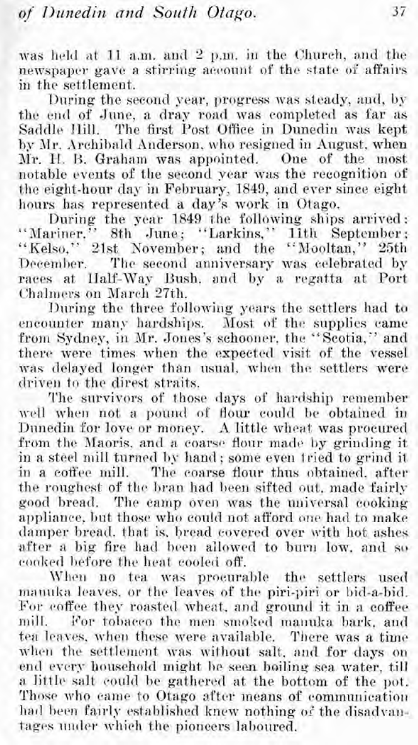was held at 11 a.m. and 2 p.m. in the Church, and the newspaper gave a stirring account of thc state of affairs in the settlement.

During the second year, progress was steady, and, by the end of June, a dray road was completed as far as Saddle Ilill. The first Post Office in Dunedin was kept by Mr. Archibald Anderson, who resigned in August, when Mr. H. B. Graham was appointed. One of the most notable events of the second year was the recognition of the eight-hour day in February, 1849, and ever since eight hours has represented a day's work in Otago.<br>During the year 1849 the following ships arrived:

"Mariner." 8th June; "Larkins," 11th September; "Kelso," 21st November; and the "Mooltan," 25th<br>December. The second anniversary was celebrated by The second anniversary was celebrated by races at Half-Way Bush, and by a regatta at Port Chalmers on March 27th.

During the three following years the settlers had to encounter many hardships. Most of the supplies came from Sydney, in Mr. Jones's schooner, the "Scotia," and there were times when the expected visit of the vessel was delayed longer than usual, when the settlers were driven to the direst straits.

The snrvivors of those days of hardship remember well when not a pound of flour could be obtained in Dunedin for love or money. A little wheat was procured from the Maoris, and a coarse flour made by grinding it in a steel niill turned by hand; some even tried to grind it in a coffee mill. The coarse flour thus ohtained, after the roughest of the bran had been sifted out, made fairly good bread. The camp oven was the universal cooking appliance, bnt those who could not afford one had to make damper bread. that is, bread covered over with hot ashes after a big fire had been allowed to barn low. and so cooked before the heat cooled off.

When no tea was procurable the settlers used manuka leaves, or the leaves of the piri-piri or bid-a-bid. For coffee they roasted wheat, and ground it in a coffee mill. For tobacco the men smoked manuka bark, and tea leaves, when these were available. There was a time when the settlement was without salt, and for days on end every household might he seen boiling sea water, till a little salt could be gathered at the bottom of the pot. Those who came to Otago after means of communication had been fairly established knew nothing of the disadvantages under which the pioneers laboured.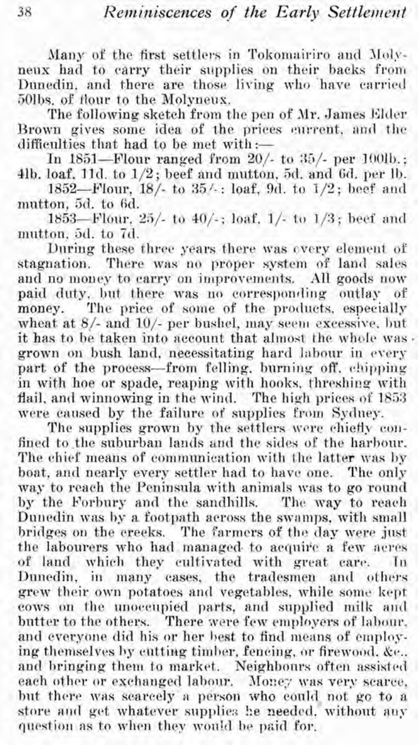Many of the first settlers in Tokomairiro and Molyneux had to carry their supplies on their backs from Dunedin, and there are those living who have carried 50lbs, of flour to the Molyneux.

The following sketch from the pen of Mr. James Elder Brown gives some idea of the prices current, and the difficulties that had to be met with :-

In 1851-Flour ranged from  $20/-$  to  $35/-$  per 100lb.; 41b. loaf, 11d. to  $1/2$ ; beef and mutton, 5d, and 6d, per 1b.

1852-Flour, 18/- to 35/-: loaf, 9d, to 1/2; beef and mutton, 5d, to 6d.

1853-Flour, 25/- to 40/-; loaf, 1/- to 1/3; beef and mutton, 5d, to 7d.

During these three years there was overy element of stagnation. There was no proper system of land sales and no money to carry on improvements. All goods now paid duty, but there was no corresponding outlay of The price of some of the products, especially money. wheat at  $8/-$  and  $10/-$  per bushel, may seem excessive, but it has to be taken into account that almost the whole was. grown on bush land, necessitating hard labour in every part of the process-from felling, burning off, chipping in with hoe or spade, reaping with hooks, threshing with flail, and winnowing in the wind. The high prices of 1853 were caused by the failure of supplies from Sydney.

The supplies grown by the settlers were chiefly confined to the suburban lands and the sides of the harbour. The chief means of communication with the latter was by boat, and nearly every settler had to have one. The only way to reach the Peninsula with animals was to go round by the Forbury and the sandhills. The way to reach Dunedin was by a footpath across the swamps, with small bridges on the creeks. The farmers of the day were just the labourers who had managed to acquire a few acres of land which they cultivated with great care. In Dunedin, in many cases, the tradesmen and others grew their own potatoes and vegetables, while some kept cows on the unoccupied parts, and supplied milk and butter to the others. There were few employers of labour. and everyone did his or her best to find means of employing themselves by eutting timber, feneing, or firewood, &c., and bringing them to market. Neighbours often assisted each other or exchanged labour. Money was very scarce, but there was searcely a person who could not go to a store and get whatever supplies he needed, without any question as to when they would be paid for.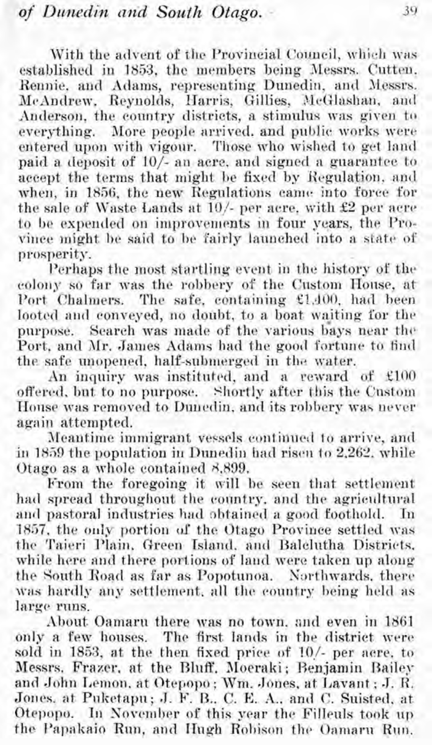With the advent of the Provincial Council, which was established in 1853, the members being Messrs. Cutten, Rennie, and Adams, representing Dunedin, and Jiessrs. McAndrew, Reynolds, Harris, Gillies, McGlashan, and Anderson, the country districts, a stimulus was given to everything. More people arrived, and public works were entered upon with vigour. Those who wished to get land paid a deposit of  $10/-$  an acre, and signed a guarantee to accept the terms that might he fixed by Hegulation, and when, in 1856, the new Regulations came into force for the sale of Waste Lands at  $10/-$  per acre, with  $£2$  per acre to be expended on improvements in four years, the Province might be said to he fairly launched into a state of prosperity.

I'erhaps the most startling event in the history of the colony so far was the robbery of the Custom House, at Port Chalmers. The safe, containing £1,400, had been looted and conveyed, no doubt, to a boat waiting for the purpose. Search was made of the various bays near the Port, and Mr. James Adams had the good fortune to find the safe unopened, half-submerged in the water.

An inquiry was instituted, and a reward of  $£100$ offered, but to no purpose. Shortly after this the Custom House was removed to Dunedin, and its robbery was never again attempted.

Meantime immigrant veescls continued to arrive, and in 1859 the population in Dunedin had risen to 2,262, while Otago as a whole contained 3,899.

From the foregoing it will be seen that settlement had spread throughout the country, and the agricultural and pastoral industries had obtained a good foothold. In 1857, the only portion of the Otago Province settled was the Taieri Plain, Green Island, and Balclutha Districts. while here and there portions of land were taken up along the South Road as far as Popotunoa. Northwards, there was hardly any settlement, all the country being held as large runs.

About Oamaru there was no town, and even in 1861 only a few houses. The first lands in the district were sold in **2853,** at the then fixed price of **lo/-** per acre. to Messrs. Fraxer. at the Bluff, Moeraki; Benjamin Bailey and John Lemon. at Otepopo; Wm. Jones, at Lavant : J. R. Jones. at Puketapu; J. F. B., C. E. A., and C. Suisted, at Otepopo. In November of this year the Filleuls took up the Papakaio Run, and Hugh Robison the Oamaru Run.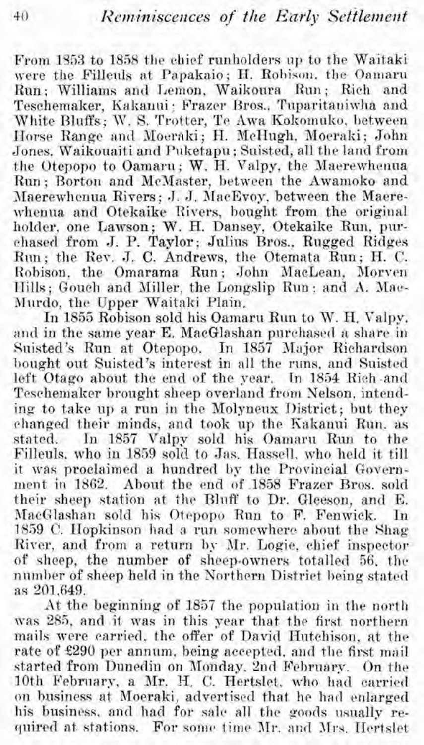From 1553 to 1858 the chief runholders up to the Waitaki were the Filleuls at Papakaio; H. Robison, the Oamaru Run: Williams and Lemon, Waikoura Run; Rich and Teschemaker, Kakanui: Frazer Bros., Tuparitaniwha and White Bluffs; W. S. Trotter, Te Awa Kokomuko, between Horse Range and Moeraki; H. MeHugh, Moeraki; John Jones. Waikouaiti and Puketapu ; Suisted, all the land from the Otepopo to Oamaru; W. H. Valpy, the Maerewhenua Run ; Borton and McMaster, between the Awamoko and Maerewhenua Rivers; J. J. MacEvoy, between the Maerewhenua and Otekaike Rivers, bought from the original holder, one Lawson; W. H. Dansey, Otekaike Run, purchased from J. P. Taylor; Julius Bros., Rugged Ridges Run; the Rev. J. C. Andrews, the Otemata Run; H. C. Robison, the Omarama Run; John MacLean, Morven 1Iills; Gouch and Niller, the Longslip Rim; and A. Mac-Murdo, the Upper Waitaki Plain.

In 1855 Robison sold his Oamaru Run to W. H. Valpy, and in the same year E. MacGlashan purchased a share in Suisted's Run at Otepopo. In 1857 Major Richardson bought out Suisted's interest in all the runs, and Suisted left Otago about the end of the pear. In 1854 Rich .and Teschemaker brought sheep overland from Nelson, intending to take up a run in the Molyneux District; but they changed their minds, and took up the Kakanui Run. as stated. In 1857 Valpy sold his Oamaru Run to the Fillenls, who in 1859 sold to Jas. Hassell. who held it till it was proclaimed a hundred by the Provincial Government in 1862. About the end of 1858 Frazer Bros. sold their sheep station at the Bluff to Dr. Gleeson, and E. MacGlashan sold his Otepopo Run to F. Fenwick. In 1859 C. Hopkinson had a run somewhere about the Shag River, and from a return by Mr. Logie, chief inspector of sheep, the number of sheep-owners totalled 56, the number of sheep held in the Northern District being stated as 201,649.

At the beginning of 1857 the population in the north was 285, and it mas in this year that the first northern mails were carried, the offer of David Hutchison, at the rate of £290 per annum, being accepted, and the first mail started from Dunedin on Monday, 2nd February. On the 10th February, a Mr. H. C. Hertslet, who had carried on business at Moeraki, advertised that he had enlarged his business, and had for sale all the goods usually required at stations. For some time Mr. and Mrs. Hertslet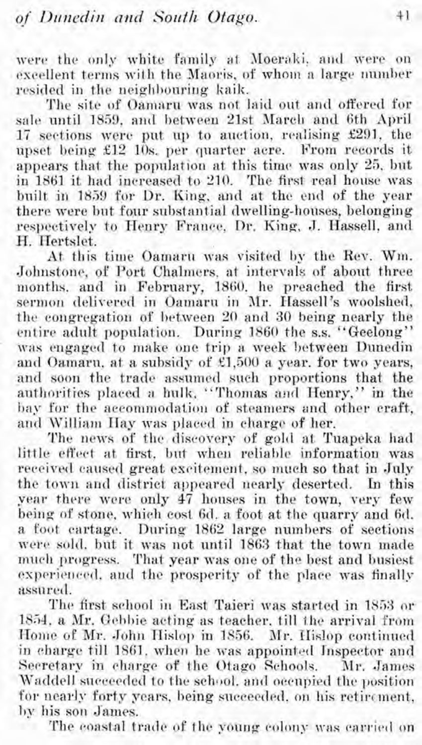were the only white family at Moeraki, and were on excellent terms with the Maoris, of whom a large number resided in the neighbouring kaik.

The site of Oamaru was not laid out and offered for sale until 1859, and between 21st March and 6th April 17 sections were put np to anction, renlising £291, the upset being £12 10s. per quarter acre. Prom records it appears that the population at this time was only 25, but in 1861 it had increased to 210. The first real house was built in 1859 for Dr. King, and at the end of the year there were bnt four substantial dwelling-houses, belonging respectively to Henry France, Dr. King, J. Hassell, and H. Hertslet.

At this time Oamarn was visited by the Rev. Wm. Johnstone, of Port Chalniers, at intervals of about three months, and in February, 1860, he preached the first sermon delivered in Oamaru in Mr. Hassell's woolshed, the congregation of between 20 and **30** being nearly the entire adult population. During 1860 the s.s. "Geelong" was engaged to make one trip a week between Dunedin and Oamaru, at a subsidy of  $£1,500$  a year. for two years, and soon the trade assumed such proportions that the authorities placed a bulk, "Thomas and Henry," in the bay for the accommodation of steamers and other craft, and William Hay was placed in charge of her.

The news of the discovery of gold at Tuapeka had little effect at first, but when reliable information was received caused great excitement. so much so that in July the town and district appeared nearly deserted. In this year there were only 47 houses in the town, very few being of stone, which cost **6d.** a foot at the quarry and 6d. a foot cartage. During 1862 large numbers of sections were sold, bnt it was not until **1863** that the town made much progress. That year was one of the best and busiest experienced, and the prosperity of the place was finally assnrerl.

The first school in East Taieri was started in 1853 or 1854, a Mr. Gebbie acting as teacher, till the arrival from Home of Mr. John Hislop in 1856. Mr. Hislop continued in charge till 1861, when he was appointed Inspector and Secretary in charge of the Otago Schools. Mr. James Waddell succeeded to the school, and occupied the position for nearly forty years, being succeeded, on his retirement, hy his son James.

The coastal trade of the young colony was carried on